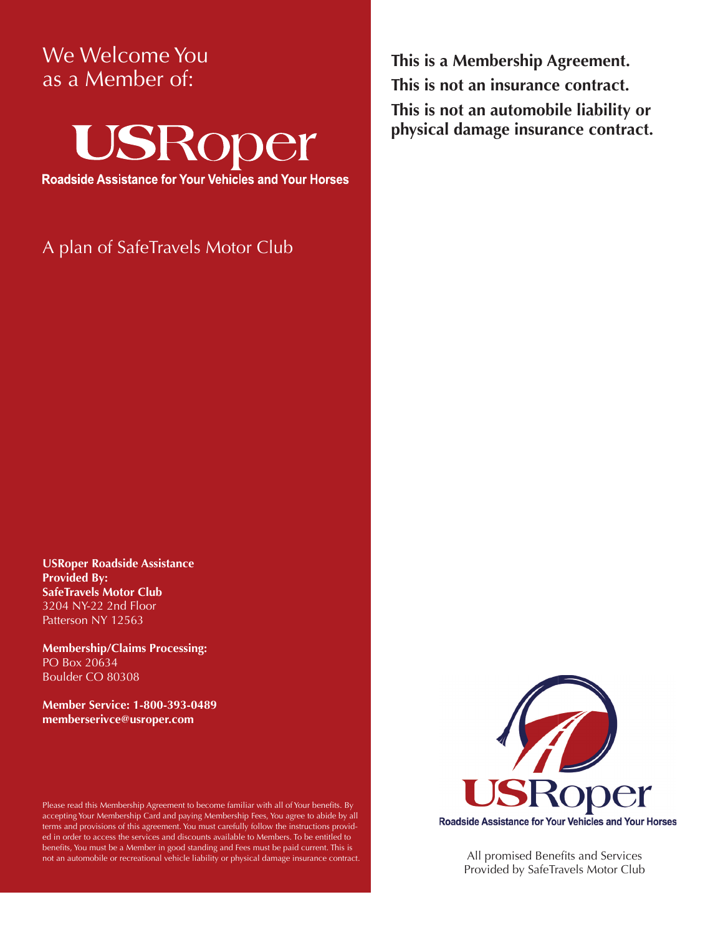## We Welcome You as a Member of:



**Roadside Assistance for Your Vehicles and Your Horses** 

A plan of SafeTravels Motor Club

**This is a Membership Agreement. This is not an insurance contract. This is not an automobile liability or physical damage insurance contract.**

**USRoper Roadside Assistance Provided By: SafeTravels Motor Club** 3204 NY-22 2nd Floor Patterson NY 12563

**Membership/Claims Processing:** PO Box 20634 Boulder CO 80308

**Member Service: 1-800-393-0489 memberserivce@usroper.com**

Please read this Membership Agreement to become familiar with all of Your benefits. By accepting Your Membership Card and paying Membership Fees, You agree to abide by all terms and provisions of this agreement. You must carefully follow the instructions provided in order to access the services and discounts available to Members. To be entitled to benefits, You must be a Member in good standing and Fees must be paid current. This is not an automobile or recreational vehicle liability or physical damage insurance contract.



All promised Benefits and Services Provided by SafeTravels Motor Club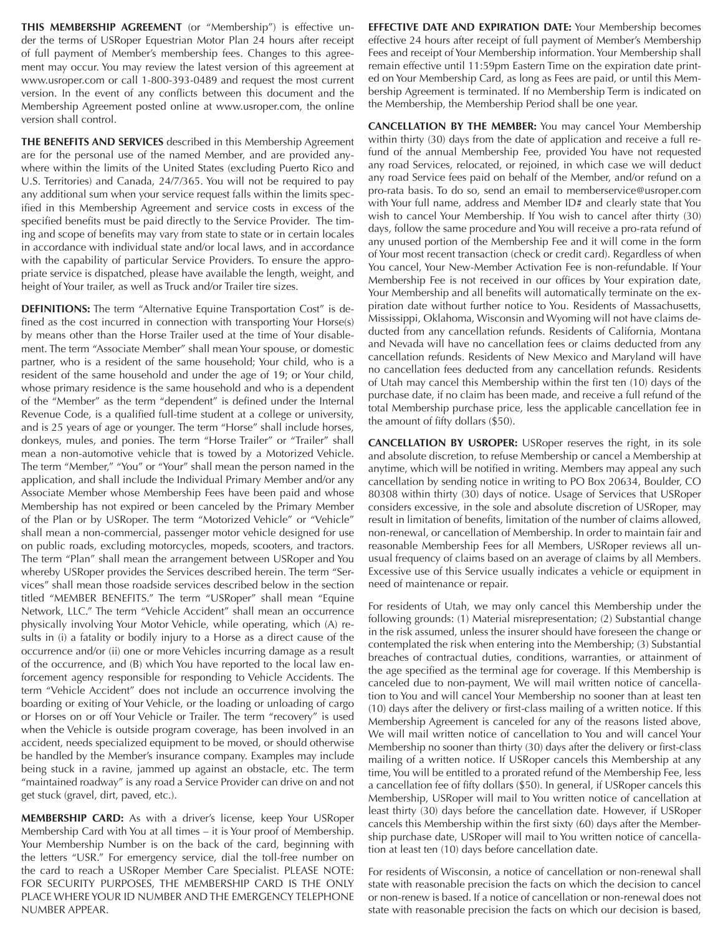**THIS MEMBERSHIP AGREEMENT** (or "Membership") is effective under the terms of USRoper Equestrian Motor Plan 24 hours after receipt of full payment of Member's membership fees. Changes to this agreement may occur. You may review the latest version of this agreement at www.usroper.com or call 1-800-393-0489 and request the most current version. In the event of any conflicts between this document and the Membership Agreement posted online at www.usroper.com, the online version shall control.

**THE BENEFITS AND SERVICES** described in this Membership Agreement are for the personal use of the named Member, and are provided anywhere within the limits of the United States (excluding Puerto Rico and U.S. Territories) and Canada, 24/7/365. You will not be required to pay any additional sum when your service request falls within the limits specified in this Membership Agreement and service costs in excess of the specified benefits must be paid directly to the Service Provider. The timing and scope of benefits may vary from state to state or in certain locales in accordance with individual state and/or local laws, and in accordance with the capability of particular Service Providers. To ensure the appropriate service is dispatched, please have available the length, weight, and height of Your trailer, as well as Truck and/or Trailer tire sizes.

**DEFINITIONS:** The term "Alternative Equine Transportation Cost" is defined as the cost incurred in connection with transporting Your Horse(s) by means other than the Horse Trailer used at the time of Your disablement. The term "Associate Member" shall mean Your spouse, or domestic partner, who is a resident of the same household; Your child, who is a resident of the same household and under the age of 19; or Your child, whose primary residence is the same household and who is a dependent of the "Member" as the term "dependent" is defined under the Internal Revenue Code, is a qualified full-time student at a college or university, and is 25 years of age or younger. The term "Horse" shall include horses, donkeys, mules, and ponies. The term "Horse Trailer" or "Trailer" shall mean a non-automotive vehicle that is towed by a Motorized Vehicle. The term "Member," "You" or "Your" shall mean the person named in the application, and shall include the Individual Primary Member and/or any Associate Member whose Membership Fees have been paid and whose Membership has not expired or been canceled by the Primary Member of the Plan or by USRoper. The term "Motorized Vehicle" or "Vehicle" shall mean a non-commercial, passenger motor vehicle designed for use on public roads, excluding motorcycles, mopeds, scooters, and tractors. The term "Plan" shall mean the arrangement between USRoper and You whereby USRoper provides the Services described herein. The term "Services" shall mean those roadside services described below in the section titled "MEMBER BENEFITS." The term "USRoper" shall mean "Equine Network, LLC." The term "Vehicle Accident" shall mean an occurrence physically involving Your Motor Vehicle, while operating, which (A) results in (i) a fatality or bodily injury to a Horse as a direct cause of the occurrence and/or (ii) one or more Vehicles incurring damage as a result of the occurrence, and (B) which You have reported to the local law enforcement agency responsible for responding to Vehicle Accidents. The term "Vehicle Accident" does not include an occurrence involving the boarding or exiting of Your Vehicle, or the loading or unloading of cargo or Horses on or off Your Vehicle or Trailer. The term "recovery" is used when the Vehicle is outside program coverage, has been involved in an accident, needs specialized equipment to be moved, or should otherwise be handled by the Member's insurance company. Examples may include being stuck in a ravine, jammed up against an obstacle, etc. The term "maintained roadway" is any road a Service Provider can drive on and not get stuck (gravel, dirt, paved, etc.).

**MEMBERSHIP CARD:** As with a driver's license, keep Your USRoper Membership Card with You at all times – it is Your proof of Membership. Your Membership Number is on the back of the card, beginning with the letters "USR." For emergency service, dial the toll-free number on the card to reach a USRoper Member Care Specialist. PLEASE NOTE: FOR SECURITY PURPOSES, THE MEMBERSHIP CARD IS THE ONLY PLACE WHERE YOUR ID NUMBER AND THE EMERGENCY TELEPHONE NUMBER APPEAR.

**EFFECTIVE DATE AND EXPIRATION DATE:** Your Membership becomes effective 24 hours after receipt of full payment of Member's Membership Fees and receipt of Your Membership information. Your Membership shall remain effective until 11:59pm Eastern Time on the expiration date printed on Your Membership Card, as long as Fees are paid, or until this Membership Agreement is terminated. If no Membership Term is indicated on the Membership, the Membership Period shall be one year.

**CANCELLATION BY THE MEMBER:** You may cancel Your Membership within thirty (30) days from the date of application and receive a full refund of the annual Membership Fee, provided You have not requested any road Services, relocated, or rejoined, in which case we will deduct any road Service fees paid on behalf of the Member, and/or refund on a pro-rata basis. To do so, send an email to memberservice@usroper.com with Your full name, address and Member ID# and clearly state that You wish to cancel Your Membership. If You wish to cancel after thirty (30) days, follow the same procedure and You will receive a pro-rata refund of any unused portion of the Membership Fee and it will come in the form of Your most recent transaction (check or credit card). Regardless of when You cancel, Your New-Member Activation Fee is non-refundable. If Your Membership Fee is not received in our offices by Your expiration date, Your Membership and all benefits will automatically terminate on the expiration date without further notice to You. Residents of Massachusetts, Mississippi, Oklahoma, Wisconsin and Wyoming will not have claims deducted from any cancellation refunds. Residents of California, Montana and Nevada will have no cancellation fees or claims deducted from any cancellation refunds. Residents of New Mexico and Maryland will have no cancellation fees deducted from any cancellation refunds. Residents of Utah may cancel this Membership within the first ten (10) days of the purchase date, if no claim has been made, and receive a full refund of the total Membership purchase price, less the applicable cancellation fee in the amount of fifty dollars (\$50).

**CANCELLATION BY USROPER:** USRoper reserves the right, in its sole and absolute discretion, to refuse Membership or cancel a Membership at anytime, which will be notified in writing. Members may appeal any such cancellation by sending notice in writing to PO Box 20634, Boulder, CO 80308 within thirty (30) days of notice. Usage of Services that USRoper considers excessive, in the sole and absolute discretion of USRoper, may result in limitation of benefits, limitation of the number of claims allowed, non-renewal, or cancellation of Membership. In order to maintain fair and reasonable Membership Fees for all Members, USRoper reviews all unusual frequency of claims based on an average of claims by all Members. Excessive use of this Service usually indicates a vehicle or equipment in need of maintenance or repair.

For residents of Utah, we may only cancel this Membership under the following grounds: (1) Material misrepresentation; (2) Substantial change in the risk assumed, unless the insurer should have foreseen the change or contemplated the risk when entering into the Membership; (3) Substantial breaches of contractual duties, conditions, warranties, or attainment of the age specified as the terminal age for coverage. If this Membership is canceled due to non-payment, We will mail written notice of cancellation to You and will cancel Your Membership no sooner than at least ten (10) days after the delivery or first-class mailing of a written notice. If this Membership Agreement is canceled for any of the reasons listed above, We will mail written notice of cancellation to You and will cancel Your Membership no sooner than thirty (30) days after the delivery or first-class mailing of a written notice. If USRoper cancels this Membership at any time, You will be entitled to a prorated refund of the Membership Fee, less a cancellation fee of fifty dollars (\$50). In general, if USRoper cancels this Membership, USRoper will mail to You written notice of cancellation at least thirty (30) days before the cancellation date. However, if USRoper cancels this Membership within the first sixty (60) days after the Membership purchase date, USRoper will mail to You written notice of cancellation at least ten (10) days before cancellation date.

For residents of Wisconsin, a notice of cancellation or non-renewal shall state with reasonable precision the facts on which the decision to cancel or non-renew is based. If a notice of cancellation or non-renewal does not state with reasonable precision the facts on which our decision is based,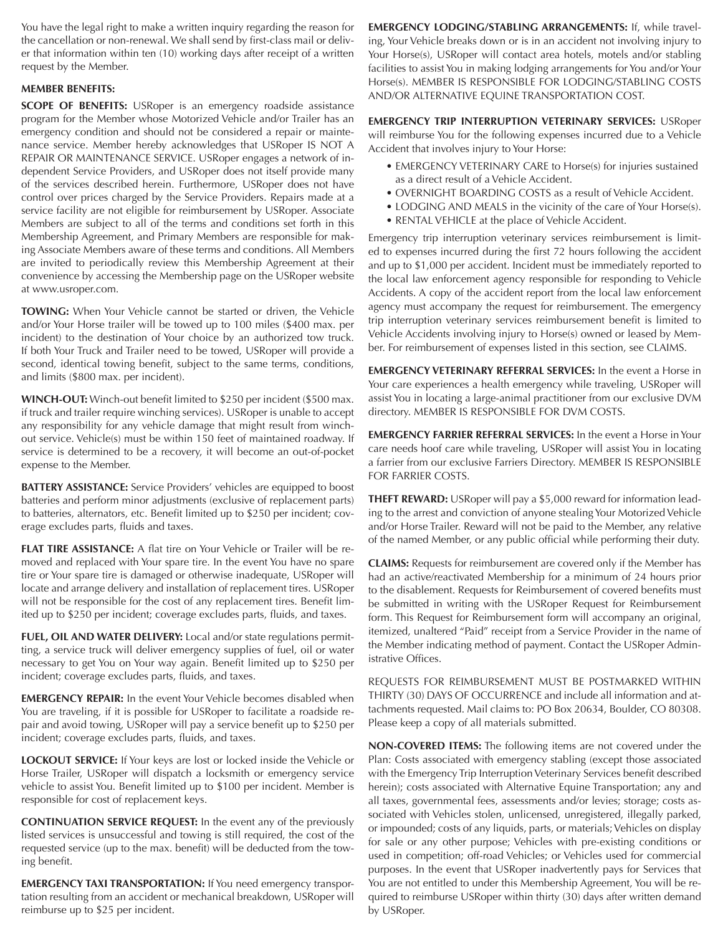You have the legal right to make a written inquiry regarding the reason for the cancellation or non-renewal. We shall send by first-class mail or deliver that information within ten (10) working days after receipt of a written request by the Member.

## **MEMBER BENEFITS:**

**SCOPE OF BENEFITS:** USRoper is an emergency roadside assistance program for the Member whose Motorized Vehicle and/or Trailer has an emergency condition and should not be considered a repair or maintenance service. Member hereby acknowledges that USRoper IS NOT A REPAIR OR MAINTENANCE SERVICE. USRoper engages a network of independent Service Providers, and USRoper does not itself provide many of the services described herein. Furthermore, USRoper does not have control over prices charged by the Service Providers. Repairs made at a service facility are not eligible for reimbursement by USRoper. Associate Members are subject to all of the terms and conditions set forth in this Membership Agreement, and Primary Members are responsible for making Associate Members aware of these terms and conditions. All Members are invited to periodically review this Membership Agreement at their convenience by accessing the Membership page on the USRoper website at www.usroper.com.

**TOWING:** When Your Vehicle cannot be started or driven, the Vehicle and/or Your Horse trailer will be towed up to 100 miles (\$400 max. per incident) to the destination of Your choice by an authorized tow truck. If both Your Truck and Trailer need to be towed, USRoper will provide a second, identical towing benefit, subject to the same terms, conditions, and limits (\$800 max. per incident).

**WINCH-OUT:** Winch-out benefit limited to \$250 per incident (\$500 max. if truck and trailer require winching services). USRoper is unable to accept any responsibility for any vehicle damage that might result from winchout service. Vehicle(s) must be within 150 feet of maintained roadway. If service is determined to be a recovery, it will become an out-of-pocket expense to the Member.

**BATTERY ASSISTANCE:** Service Providers' vehicles are equipped to boost batteries and perform minor adjustments (exclusive of replacement parts) to batteries, alternators, etc. Benefit limited up to \$250 per incident; coverage excludes parts, fluids and taxes.

**FLAT TIRE ASSISTANCE:** A flat tire on Your Vehicle or Trailer will be removed and replaced with Your spare tire. In the event You have no spare tire or Your spare tire is damaged or otherwise inadequate, USRoper will locate and arrange delivery and installation of replacement tires. USRoper will not be responsible for the cost of any replacement tires. Benefit limited up to \$250 per incident; coverage excludes parts, fluids, and taxes.

**FUEL, OIL AND WATER DELIVERY:** Local and/or state regulations permitting, a service truck will deliver emergency supplies of fuel, oil or water necessary to get You on Your way again. Benefit limited up to \$250 per incident; coverage excludes parts, fluids, and taxes.

**EMERGENCY REPAIR:** In the event Your Vehicle becomes disabled when You are traveling, if it is possible for USRoper to facilitate a roadside repair and avoid towing, USRoper will pay a service benefit up to \$250 per incident; coverage excludes parts, fluids, and taxes.

**LOCKOUT SERVICE:** If Your keys are lost or locked inside the Vehicle or Horse Trailer, USRoper will dispatch a locksmith or emergency service vehicle to assist You. Benefit limited up to \$100 per incident. Member is responsible for cost of replacement keys.

**CONTINUATION SERVICE REQUEST:** In the event any of the previously listed services is unsuccessful and towing is still required, the cost of the requested service (up to the max. benefit) will be deducted from the towing benefit.

**EMERGENCY TAXI TRANSPORTATION:** If You need emergency transportation resulting from an accident or mechanical breakdown, USRoper will reimburse up to \$25 per incident.

**EMERGENCY LODGING/STABLING ARRANGEMENTS:** If, while traveling, Your Vehicle breaks down or is in an accident not involving injury to Your Horse(s), USRoper will contact area hotels, motels and/or stabling facilities to assist You in making lodging arrangements for You and/or Your Horse(s). MEMBER IS RESPONSIBLE FOR LODGING/STABLING COSTS AND/OR ALTERNATIVE EQUINE TRANSPORTATION COST.

**EMERGENCY TRIP INTERRUPTION VETERINARY SERVICES:** USRoper will reimburse You for the following expenses incurred due to a Vehicle Accident that involves injury to Your Horse:

- EMERGENCY VETERINARY CARE to Horse(s) for injuries sustained as a direct result of a Vehicle Accident.
- OVERNIGHT BOARDING COSTS as a result of Vehicle Accident.
- LODGING AND MEALS in the vicinity of the care of Your Horse(s).
- RENTAL VEHICLE at the place of Vehicle Accident.

Emergency trip interruption veterinary services reimbursement is limited to expenses incurred during the first 72 hours following the accident and up to \$1,000 per accident. Incident must be immediately reported to the local law enforcement agency responsible for responding to Vehicle Accidents. A copy of the accident report from the local law enforcement agency must accompany the request for reimbursement. The emergency trip interruption veterinary services reimbursement benefit is limited to Vehicle Accidents involving injury to Horse(s) owned or leased by Member. For reimbursement of expenses listed in this section, see CLAIMS.

**EMERGENCY VETERINARY REFERRAL SERVICES:** In the event a Horse in Your care experiences a health emergency while traveling, USRoper will assist You in locating a large-animal practitioner from our exclusive DVM directory. MEMBER IS RESPONSIBLE FOR DVM COSTS.

**EMERGENCY FARRIER REFERRAL SERVICES:** In the event a Horse in Your care needs hoof care while traveling, USRoper will assist You in locating a farrier from our exclusive Farriers Directory. MEMBER IS RESPONSIBLE FOR FARRIER COSTS.

**THEFT REWARD:** USRoper will pay a \$5,000 reward for information leading to the arrest and conviction of anyone stealing Your Motorized Vehicle and/or Horse Trailer. Reward will not be paid to the Member, any relative of the named Member, or any public official while performing their duty.

**CLAIMS:** Requests for reimbursement are covered only if the Member has had an active/reactivated Membership for a minimum of 24 hours prior to the disablement. Requests for Reimbursement of covered benefits must be submitted in writing with the USRoper Request for Reimbursement form. This Request for Reimbursement form will accompany an original, itemized, unaltered "Paid" receipt from a Service Provider in the name of the Member indicating method of payment. Contact the USRoper Administrative Offices.

REQUESTS FOR REIMBURSEMENT MUST BE POSTMARKED WITHIN THIRTY (30) DAYS OF OCCURRENCE and include all information and attachments requested. Mail claims to: PO Box 20634, Boulder, CO 80308. Please keep a copy of all materials submitted.

**NON-COVERED ITEMS:** The following items are not covered under the Plan: Costs associated with emergency stabling (except those associated with the Emergency Trip Interruption Veterinary Services benefit described herein); costs associated with Alternative Equine Transportation; any and all taxes, governmental fees, assessments and/or levies; storage; costs associated with Vehicles stolen, unlicensed, unregistered, illegally parked, or impounded; costs of any liquids, parts, or materials; Vehicles on display for sale or any other purpose; Vehicles with pre-existing conditions or used in competition; off-road Vehicles; or Vehicles used for commercial purposes. In the event that USRoper inadvertently pays for Services that You are not entitled to under this Membership Agreement, You will be required to reimburse USRoper within thirty (30) days after written demand by USRoper.